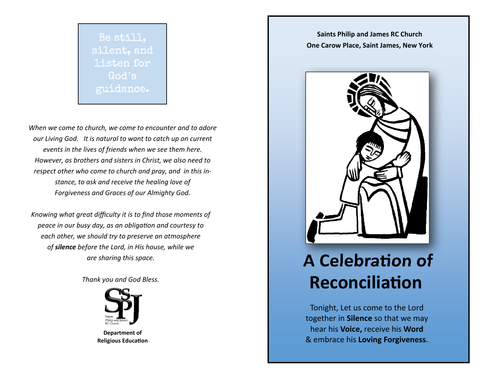

*When we come to church, we come to encounter and to adore our Living God. It is natural to want to catch up on current*  events in the lives of friends when we see them here. *However, as brothers and sisters in Christ, we also need to respect other who come to church and pray, and in this instance, to ask and receive the healing love of Forgiveness and Graces of our Almighty God.* 

*Knowing what great difficulty it is to find those moments of peace in our busy day, as an obligaƟon and courtesy to each other, we should try to preserve an atmosphere of silence before the Lord, in His house, while we are sharing this space.* 

*Thank you and God Bless.* 



**Department of Religious EducaƟon** 

**Saints Philip and James RC Church One Carow Place, Saint James, New York**



# **A CelebraƟon of ReconciliaƟon**

Tonight, Let us come to the Lord together in **Silence** so that we may hear his **Voice,** receive his **Word**  & embrace his **Loving Forgiveness**.